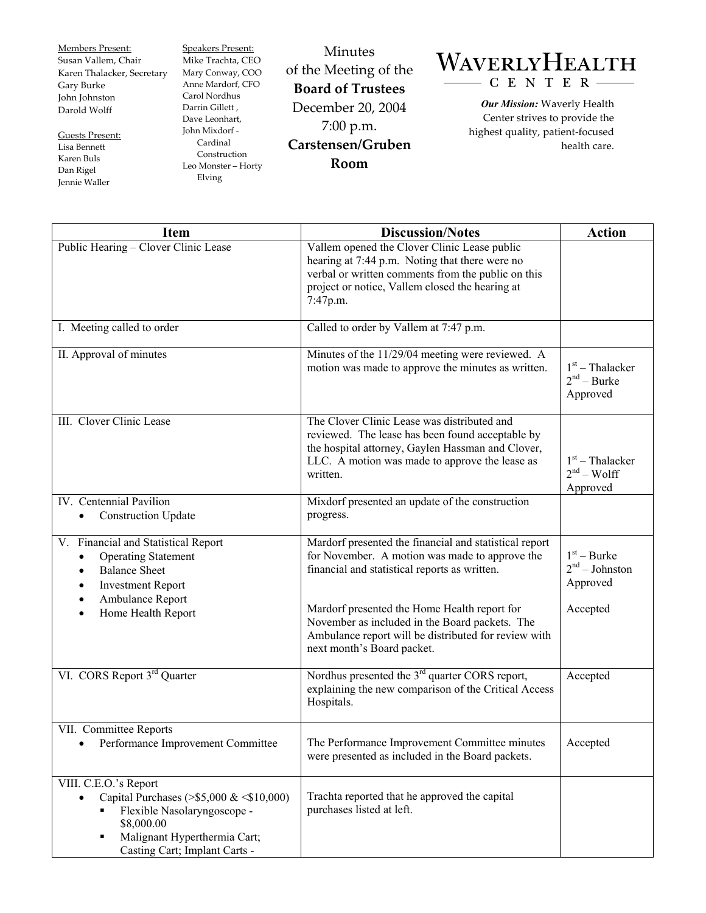Members Present: Susan Vallem, Chair Karen Thalacker, Secretary Gary Burke John Johnston Darold Wolff

Guests Present: Lisa Bennett Karen Buls Dan Rigel Jennie Waller

Speakers Present: Mike Trachta, CEO Mary Conway, COO Anne Mardorf, CFO Carol Nordhus Darrin Gillett , Dave Leonhart, John Mixdorf - Cardinal Construction Leo Monster – Horty Elving

Minutes of the Meeting of the **Board of Trustees**  December 20, 2004 7:00 p.m. **Carstensen/Gruben Room** 

## WAVERLYHEALTH  $-C E N T E R -$

*Our Mission:* Waverly Health Center strives to provide the highest quality, patient-focused health care.

| <b>Item</b>                                                                                                                                                                                             | <b>Discussion/Notes</b>                                                                                                                                                                                             | <b>Action</b>                                  |
|---------------------------------------------------------------------------------------------------------------------------------------------------------------------------------------------------------|---------------------------------------------------------------------------------------------------------------------------------------------------------------------------------------------------------------------|------------------------------------------------|
| Public Hearing - Clover Clinic Lease                                                                                                                                                                    | Vallem opened the Clover Clinic Lease public<br>hearing at 7:44 p.m. Noting that there were no<br>verbal or written comments from the public on this<br>project or notice, Vallem closed the hearing at<br>7:47p.m. |                                                |
| I. Meeting called to order                                                                                                                                                                              | Called to order by Vallem at 7:47 p.m.                                                                                                                                                                              |                                                |
| II. Approval of minutes                                                                                                                                                                                 | Minutes of the 11/29/04 meeting were reviewed. A<br>motion was made to approve the minutes as written.                                                                                                              | $1st$ – Thalacker<br>$2nd - Burke$<br>Approved |
| III. Clover Clinic Lease                                                                                                                                                                                | The Clover Clinic Lease was distributed and<br>reviewed. The lease has been found acceptable by<br>the hospital attorney, Gaylen Hassman and Clover,<br>LLC. A motion was made to approve the lease as<br>written.  | $1st$ – Thalacker<br>$2nd - Wolf$<br>Approved  |
| IV. Centennial Pavilion<br><b>Construction Update</b><br>$\bullet$                                                                                                                                      | Mixdorf presented an update of the construction<br>progress.                                                                                                                                                        |                                                |
| V. Financial and Statistical Report<br><b>Operating Statement</b><br>$\bullet$<br><b>Balance Sheet</b><br>$\bullet$<br><b>Investment Report</b><br>$\bullet$<br>Ambulance Report                        | Mardorf presented the financial and statistical report<br>for November. A motion was made to approve the<br>financial and statistical reports as written.                                                           | $1st - Burke$<br>$2nd - Johnston$<br>Approved  |
| Home Health Report                                                                                                                                                                                      | Mardorf presented the Home Health report for<br>November as included in the Board packets. The<br>Ambulance report will be distributed for review with<br>next month's Board packet.                                | Accepted                                       |
| VI. CORS Report 3 <sup>rd</sup> Quarter                                                                                                                                                                 | Nordhus presented the $3rd$ quarter CORS report,<br>explaining the new comparison of the Critical Access<br>Hospitals.                                                                                              | Accepted                                       |
| VII. Committee Reports<br>Performance Improvement Committee                                                                                                                                             | The Performance Improvement Committee minutes<br>were presented as included in the Board packets.                                                                                                                   | Accepted                                       |
| VIII. C.E.O.'s Report<br>Capital Purchases (>\$5,000 & $\leq$ \$10,000)<br>$\bullet$<br>Flexible Nasolaryngoscope -<br>٠<br>\$8,000.00<br>Malignant Hyperthermia Cart;<br>Casting Cart; Implant Carts - | Trachta reported that he approved the capital<br>purchases listed at left.                                                                                                                                          |                                                |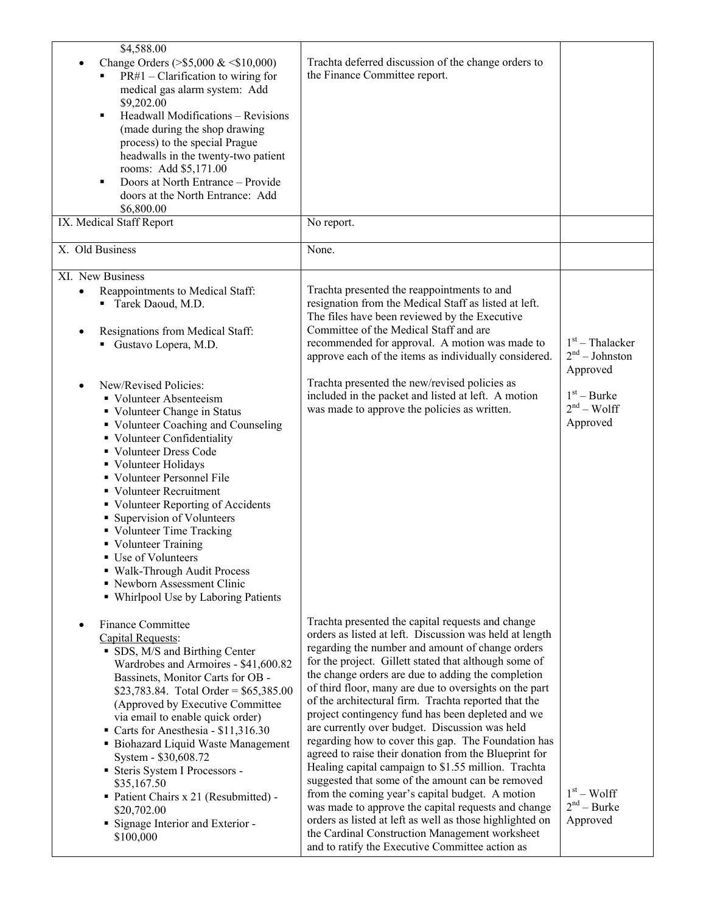| \$4,588.00<br>Change Orders (>\$5,000 & <\$10,000)<br>$PR#1$ – Clarification to wiring for<br>medical gas alarm system: Add<br>\$9,202.00<br>Headwall Modifications - Revisions<br>٠<br>(made during the shop drawing<br>process) to the special Prague<br>headwalls in the twenty-two patient<br>rooms: Add \$5,171.00<br>Doors at North Entrance - Provide<br>٠<br>doors at the North Entrance: Add<br>\$6,800.00                                                                                                                            | Trachta deferred discussion of the change orders to<br>the Finance Committee report.                                                                                                                                                                                                                                                                                                                                                                                                                                                                                                                                                                                                                                                                                                                                                                                                                                                                                                                           |                                                   |
|------------------------------------------------------------------------------------------------------------------------------------------------------------------------------------------------------------------------------------------------------------------------------------------------------------------------------------------------------------------------------------------------------------------------------------------------------------------------------------------------------------------------------------------------|----------------------------------------------------------------------------------------------------------------------------------------------------------------------------------------------------------------------------------------------------------------------------------------------------------------------------------------------------------------------------------------------------------------------------------------------------------------------------------------------------------------------------------------------------------------------------------------------------------------------------------------------------------------------------------------------------------------------------------------------------------------------------------------------------------------------------------------------------------------------------------------------------------------------------------------------------------------------------------------------------------------|---------------------------------------------------|
| IX. Medical Staff Report                                                                                                                                                                                                                                                                                                                                                                                                                                                                                                                       | No report.                                                                                                                                                                                                                                                                                                                                                                                                                                                                                                                                                                                                                                                                                                                                                                                                                                                                                                                                                                                                     |                                                   |
| X. Old Business                                                                                                                                                                                                                                                                                                                                                                                                                                                                                                                                | None.                                                                                                                                                                                                                                                                                                                                                                                                                                                                                                                                                                                                                                                                                                                                                                                                                                                                                                                                                                                                          |                                                   |
| XI. New Business<br>Reappointments to Medical Staff:<br>$\bullet$<br>Tarek Daoud, M.D.<br>Resignations from Medical Staff:<br>Gustavo Lopera, M.D.                                                                                                                                                                                                                                                                                                                                                                                             | Trachta presented the reappointments to and<br>resignation from the Medical Staff as listed at left.<br>The files have been reviewed by the Executive<br>Committee of the Medical Staff and are<br>recommended for approval. A motion was made to<br>approve each of the items as individually considered.                                                                                                                                                                                                                                                                                                                                                                                                                                                                                                                                                                                                                                                                                                     | $1st$ – Thalacker<br>$2nd - Johnston$<br>Approved |
| New/Revised Policies:<br>• Volunteer Absenteeism<br>• Volunteer Change in Status<br>• Volunteer Coaching and Counseling<br>• Volunteer Confidentiality<br>• Volunteer Dress Code<br>• Volunteer Holidays<br>• Volunteer Personnel File<br>• Volunteer Recruitment<br>• Volunteer Reporting of Accidents<br>• Supervision of Volunteers<br>• Volunteer Time Tracking<br>• Volunteer Training<br>■ Use of Volunteers<br>· Walk-Through Audit Process<br>• Newborn Assessment Clinic<br>• Whirlpool Use by Laboring Patients                      | Trachta presented the new/revised policies as<br>included in the packet and listed at left. A motion<br>was made to approve the policies as written.                                                                                                                                                                                                                                                                                                                                                                                                                                                                                                                                                                                                                                                                                                                                                                                                                                                           | $1st - Burke$<br>$2nd - Wolf$<br>Approved         |
| <b>Finance Committee</b><br>Capital Requests:<br>• SDS, M/S and Birthing Center<br>Wardrobes and Armoires - \$41,600.82<br>Bassinets, Monitor Carts for OB -<br>\$23,783.84. Total Order = $$65,385.00$<br>(Approved by Executive Committee)<br>via email to enable quick order)<br>Carts for Anesthesia - \$11,316.30<br>• Biohazard Liquid Waste Management<br>System - \$30,608.72<br>Steris System I Processors -<br>\$35,167.50<br>• Patient Chairs x 21 (Resubmitted) -<br>\$20,702.00<br>• Signage Interior and Exterior -<br>\$100,000 | Trachta presented the capital requests and change<br>orders as listed at left. Discussion was held at length<br>regarding the number and amount of change orders<br>for the project. Gillett stated that although some of<br>the change orders are due to adding the completion<br>of third floor, many are due to oversights on the part<br>of the architectural firm. Trachta reported that the<br>project contingency fund has been depleted and we<br>are currently over budget. Discussion was held<br>regarding how to cover this gap. The Foundation has<br>agreed to raise their donation from the Blueprint for<br>Healing capital campaign to \$1.55 million. Trachta<br>suggested that some of the amount can be removed<br>from the coming year's capital budget. A motion<br>was made to approve the capital requests and change<br>orders as listed at left as well as those highlighted on<br>the Cardinal Construction Management worksheet<br>and to ratify the Executive Committee action as | $1st - Wolf$<br>$2nd - Burke$<br>Approved         |